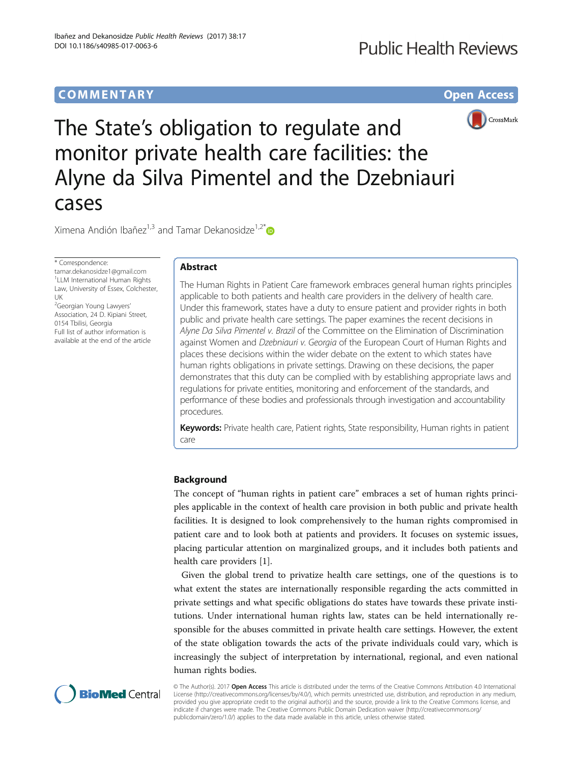## **COMMENTARY COMMENTARY Open Access**



The State's obligation to regulate and monitor private health care facilities: the Alyne da Silva Pimentel and the Dzebniauri cases

Ximena Andión Ibañez<sup>1,3</sup> and Tamar Dekanosidze<sup>1,2\*</sup>

\* Correspondence:

[tamar.dekanosidze1@gmail.com](mailto:tamar.dekanosidze1@gmail.com) 1 LLM International Human Rights Law, University of Essex, Colchester, UK

<sup>2</sup>Georgian Young Lawyers' Association, 24 D. Kipiani Street, 0154 Tbilisi, Georgia Full list of author information is available at the end of the article

### Abstract

The Human Rights in Patient Care framework embraces general human rights principles applicable to both patients and health care providers in the delivery of health care. Under this framework, states have a duty to ensure patient and provider rights in both public and private health care settings. The paper examines the recent decisions in Alyne Da Silva Pimentel v. Brazil of the Committee on the Elimination of Discrimination against Women and Dzebniauri v. Georgia of the European Court of Human Rights and places these decisions within the wider debate on the extent to which states have human rights obligations in private settings. Drawing on these decisions, the paper demonstrates that this duty can be complied with by establishing appropriate laws and regulations for private entities, monitoring and enforcement of the standards, and performance of these bodies and professionals through investigation and accountability procedures.

Keywords: Private health care, Patient rights, State responsibility, Human rights in patient care

### Background

The concept of "human rights in patient care" embraces a set of human rights principles applicable in the context of health care provision in both public and private health facilities. It is designed to look comprehensively to the human rights compromised in patient care and to look both at patients and providers. It focuses on systemic issues, placing particular attention on marginalized groups, and it includes both patients and health care providers [[1\]](#page-7-0).

Given the global trend to privatize health care settings, one of the questions is to what extent the states are internationally responsible regarding the acts committed in private settings and what specific obligations do states have towards these private institutions. Under international human rights law, states can be held internationally responsible for the abuses committed in private health care settings. However, the extent of the state obligation towards the acts of the private individuals could vary, which is increasingly the subject of interpretation by international, regional, and even national human rights bodies.



© The Author(s). 2017 Open Access This article is distributed under the terms of the Creative Commons Attribution 4.0 International License ([http://creativecommons.org/licenses/by/4.0/\)](http://creativecommons.org/licenses/by/4.0/), which permits unrestricted use, distribution, and reproduction in any medium, provided you give appropriate credit to the original author(s) and the source, provide a link to the Creative Commons license, and indicate if changes were made. The Creative Commons Public Domain Dedication waiver ([http://creativecommons.org/](http://creativecommons.org/publicdomain/zero/1.0/) [publicdomain/zero/1.0/\)](http://creativecommons.org/publicdomain/zero/1.0/) applies to the data made available in this article, unless otherwise stated.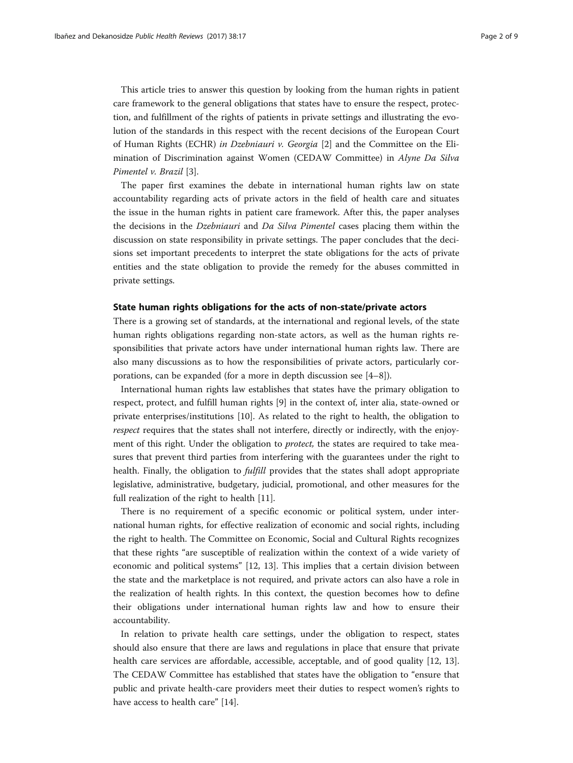This article tries to answer this question by looking from the human rights in patient care framework to the general obligations that states have to ensure the respect, protection, and fulfillment of the rights of patients in private settings and illustrating the evolution of the standards in this respect with the recent decisions of the European Court of Human Rights (ECHR) in Dzebniauri v. Georgia [\[2](#page-7-0)] and the Committee on the Elimination of Discrimination against Women (CEDAW Committee) in Alyne Da Silva Pimentel v. Brazil [\[3](#page-7-0)].

The paper first examines the debate in international human rights law on state accountability regarding acts of private actors in the field of health care and situates the issue in the human rights in patient care framework. After this, the paper analyses the decisions in the Dzebniauri and Da Silva Pimentel cases placing them within the discussion on state responsibility in private settings. The paper concludes that the decisions set important precedents to interpret the state obligations for the acts of private entities and the state obligation to provide the remedy for the abuses committed in private settings.

### State human rights obligations for the acts of non-state/private actors

There is a growing set of standards, at the international and regional levels, of the state human rights obligations regarding non-state actors, as well as the human rights responsibilities that private actors have under international human rights law. There are also many discussions as to how the responsibilities of private actors, particularly corporations, can be expanded (for a more in depth discussion see [\[4](#page-7-0)–[8\]](#page-8-0)).

International human rights law establishes that states have the primary obligation to respect, protect, and fulfill human rights [\[9\]](#page-8-0) in the context of, inter alia, state-owned or private enterprises/institutions [[10\]](#page-8-0). As related to the right to health, the obligation to respect requires that the states shall not interfere, directly or indirectly, with the enjoyment of this right. Under the obligation to *protect*, the states are required to take measures that prevent third parties from interfering with the guarantees under the right to health. Finally, the obligation to *fulfill* provides that the states shall adopt appropriate legislative, administrative, budgetary, judicial, promotional, and other measures for the full realization of the right to health [\[11\]](#page-8-0).

There is no requirement of a specific economic or political system, under international human rights, for effective realization of economic and social rights, including the right to health. The Committee on Economic, Social and Cultural Rights recognizes that these rights "are susceptible of realization within the context of a wide variety of economic and political systems" [[12](#page-8-0), [13](#page-8-0)]. This implies that a certain division between the state and the marketplace is not required, and private actors can also have a role in the realization of health rights. In this context, the question becomes how to define their obligations under international human rights law and how to ensure their accountability.

In relation to private health care settings, under the obligation to respect, states should also ensure that there are laws and regulations in place that ensure that private health care services are affordable, accessible, acceptable, and of good quality [[12, 13](#page-8-0)]. The CEDAW Committee has established that states have the obligation to "ensure that public and private health-care providers meet their duties to respect women's rights to have access to health care" [\[14\]](#page-8-0).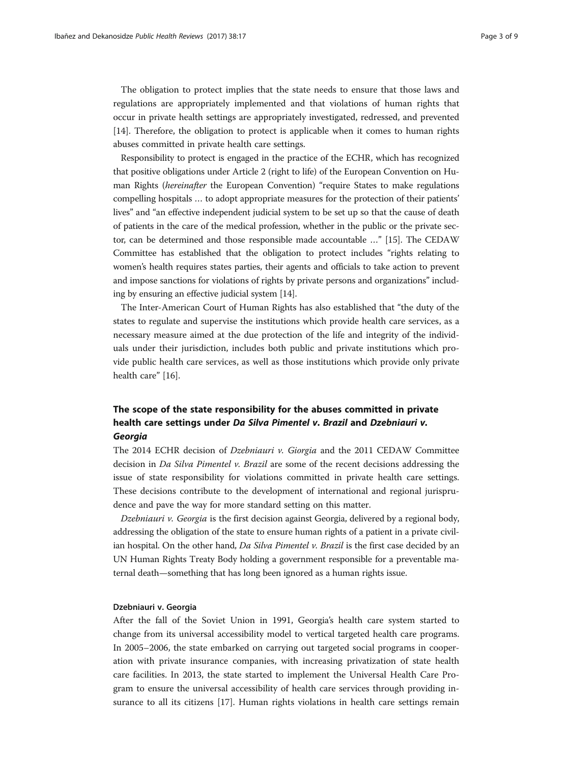The obligation to protect implies that the state needs to ensure that those laws and regulations are appropriately implemented and that violations of human rights that occur in private health settings are appropriately investigated, redressed, and prevented [[14\]](#page-8-0). Therefore, the obligation to protect is applicable when it comes to human rights abuses committed in private health care settings.

Responsibility to protect is engaged in the practice of the ECHR, which has recognized that positive obligations under Article 2 (right to life) of the European Convention on Human Rights (hereinafter the European Convention) "require States to make regulations compelling hospitals … to adopt appropriate measures for the protection of their patients' lives" and "an effective independent judicial system to be set up so that the cause of death of patients in the care of the medical profession, whether in the public or the private sector, can be determined and those responsible made accountable …" [[15](#page-8-0)]. The CEDAW Committee has established that the obligation to protect includes "rights relating to women's health requires states parties, their agents and officials to take action to prevent and impose sanctions for violations of rights by private persons and organizations" including by ensuring an effective judicial system [[14\]](#page-8-0).

The Inter-American Court of Human Rights has also established that "the duty of the states to regulate and supervise the institutions which provide health care services, as a necessary measure aimed at the due protection of the life and integrity of the individuals under their jurisdiction, includes both public and private institutions which provide public health care services, as well as those institutions which provide only private health care" [\[16](#page-8-0)].

# The scope of the state responsibility for the abuses committed in private health care settings under *Da Silva Pimentel v. Brazil* and *Dzebniauri v.*<br>*Georgia*

The 2014 ECHR decision of *Dzebniauri v. Giorgia* and the 2011 CEDAW Committee decision in Da Silva Pimentel v. Brazil are some of the recent decisions addressing the issue of state responsibility for violations committed in private health care settings. These decisions contribute to the development of international and regional jurisprudence and pave the way for more standard setting on this matter.

Dzebniauri v. Georgia is the first decision against Georgia, delivered by a regional body, addressing the obligation of the state to ensure human rights of a patient in a private civilian hospital. On the other hand, Da Silva Pimentel v. Brazil is the first case decided by an UN Human Rights Treaty Body holding a government responsible for a preventable maternal death—something that has long been ignored as a human rights issue.

#### Dzebniauri v. Georgia

After the fall of the Soviet Union in 1991, Georgia's health care system started to change from its universal accessibility model to vertical targeted health care programs. In 2005–2006, the state embarked on carrying out targeted social programs in cooperation with private insurance companies, with increasing privatization of state health care facilities. In 2013, the state started to implement the Universal Health Care Program to ensure the universal accessibility of health care services through providing insurance to all its citizens [\[17\]](#page-8-0). Human rights violations in health care settings remain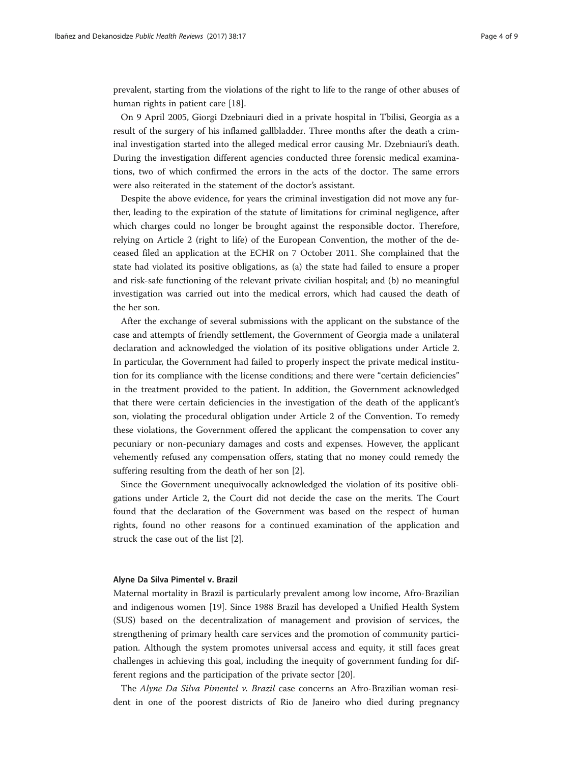prevalent, starting from the violations of the right to life to the range of other abuses of human rights in patient care [[18](#page-8-0)].

On 9 April 2005, Giorgi Dzebniauri died in a private hospital in Tbilisi, Georgia as a result of the surgery of his inflamed gallbladder. Three months after the death a criminal investigation started into the alleged medical error causing Mr. Dzebniauri's death. During the investigation different agencies conducted three forensic medical examinations, two of which confirmed the errors in the acts of the doctor. The same errors were also reiterated in the statement of the doctor's assistant.

Despite the above evidence, for years the criminal investigation did not move any further, leading to the expiration of the statute of limitations for criminal negligence, after which charges could no longer be brought against the responsible doctor. Therefore, relying on Article 2 (right to life) of the European Convention, the mother of the deceased filed an application at the ECHR on 7 October 2011. She complained that the state had violated its positive obligations, as (a) the state had failed to ensure a proper and risk-safe functioning of the relevant private civilian hospital; and (b) no meaningful investigation was carried out into the medical errors, which had caused the death of the her son.

After the exchange of several submissions with the applicant on the substance of the case and attempts of friendly settlement, the Government of Georgia made a unilateral declaration and acknowledged the violation of its positive obligations under Article 2. In particular, the Government had failed to properly inspect the private medical institution for its compliance with the license conditions; and there were "certain deficiencies" in the treatment provided to the patient. In addition, the Government acknowledged that there were certain deficiencies in the investigation of the death of the applicant's son, violating the procedural obligation under Article 2 of the Convention. To remedy these violations, the Government offered the applicant the compensation to cover any pecuniary or non-pecuniary damages and costs and expenses. However, the applicant vehemently refused any compensation offers, stating that no money could remedy the suffering resulting from the death of her son [[2\]](#page-7-0).

Since the Government unequivocally acknowledged the violation of its positive obligations under Article 2, the Court did not decide the case on the merits. The Court found that the declaration of the Government was based on the respect of human rights, found no other reasons for a continued examination of the application and struck the case out of the list [\[2](#page-7-0)].

### Alyne Da Silva Pimentel v. Brazil

Maternal mortality in Brazil is particularly prevalent among low income, Afro-Brazilian and indigenous women [[19\]](#page-8-0). Since 1988 Brazil has developed a Unified Health System (SUS) based on the decentralization of management and provision of services, the strengthening of primary health care services and the promotion of community participation. Although the system promotes universal access and equity, it still faces great challenges in achieving this goal, including the inequity of government funding for different regions and the participation of the private sector [\[20\]](#page-8-0).

The Alyne Da Silva Pimentel v. Brazil case concerns an Afro-Brazilian woman resident in one of the poorest districts of Rio de Janeiro who died during pregnancy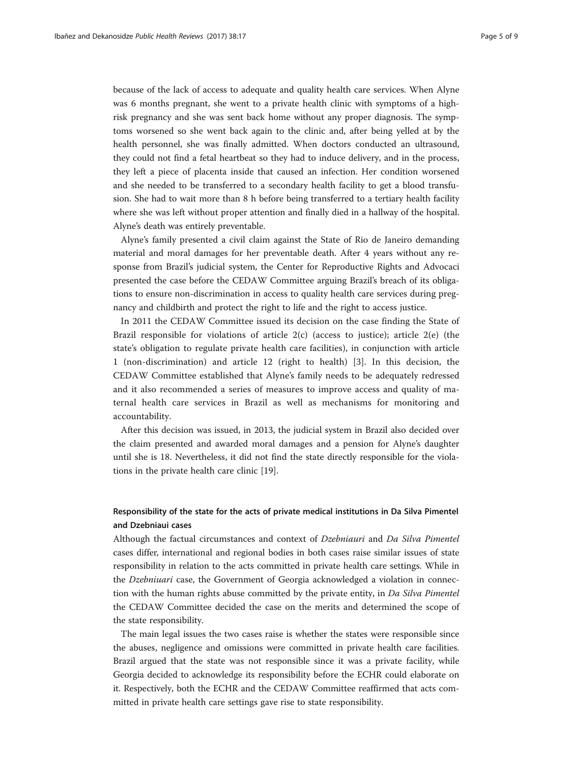because of the lack of access to adequate and quality health care services. When Alyne was 6 months pregnant, she went to a private health clinic with symptoms of a highrisk pregnancy and she was sent back home without any proper diagnosis. The symptoms worsened so she went back again to the clinic and, after being yelled at by the health personnel, she was finally admitted. When doctors conducted an ultrasound, they could not find a fetal heartbeat so they had to induce delivery, and in the process, they left a piece of placenta inside that caused an infection. Her condition worsened and she needed to be transferred to a secondary health facility to get a blood transfusion. She had to wait more than 8 h before being transferred to a tertiary health facility where she was left without proper attention and finally died in a hallway of the hospital. Alyne's death was entirely preventable.

Alyne's family presented a civil claim against the State of Rio de Janeiro demanding material and moral damages for her preventable death. After 4 years without any response from Brazil's judicial system, the Center for Reproductive Rights and Advocaci presented the case before the CEDAW Committee arguing Brazil's breach of its obligations to ensure non-discrimination in access to quality health care services during pregnancy and childbirth and protect the right to life and the right to access justice.

In 2011 the CEDAW Committee issued its decision on the case finding the State of Brazil responsible for violations of article  $2(c)$  (access to justice); article  $2(e)$  (the state's obligation to regulate private health care facilities), in conjunction with article 1 (non-discrimination) and article 12 (right to health) [\[3](#page-7-0)]. In this decision, the CEDAW Committee established that Alyne's family needs to be adequately redressed and it also recommended a series of measures to improve access and quality of maternal health care services in Brazil as well as mechanisms for monitoring and accountability.

After this decision was issued, in 2013, the judicial system in Brazil also decided over the claim presented and awarded moral damages and a pension for Alyne's daughter until she is 18. Nevertheless, it did not find the state directly responsible for the violations in the private health care clinic [\[19](#page-8-0)].

### Responsibility of the state for the acts of private medical institutions in Da Silva Pimentel and Dzebniaui cases

Although the factual circumstances and context of Dzebniauri and Da Silva Pimentel cases differ, international and regional bodies in both cases raise similar issues of state responsibility in relation to the acts committed in private health care settings. While in the *Dzebniuari* case, the Government of Georgia acknowledged a violation in connection with the human rights abuse committed by the private entity, in  $Da Silva Pimentel$ the CEDAW Committee decided the case on the merits and determined the scope of the state responsibility.

The main legal issues the two cases raise is whether the states were responsible since the abuses, negligence and omissions were committed in private health care facilities. Brazil argued that the state was not responsible since it was a private facility, while Georgia decided to acknowledge its responsibility before the ECHR could elaborate on it. Respectively, both the ECHR and the CEDAW Committee reaffirmed that acts committed in private health care settings gave rise to state responsibility.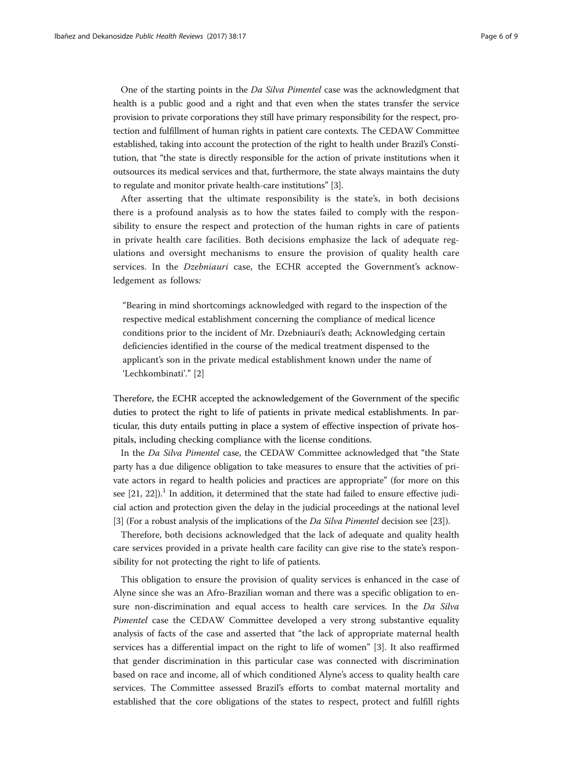One of the starting points in the Da Silva Pimentel case was the acknowledgment that health is a public good and a right and that even when the states transfer the service provision to private corporations they still have primary responsibility for the respect, protection and fulfillment of human rights in patient care contexts. The CEDAW Committee established, taking into account the protection of the right to health under Brazil's Constitution, that "the state is directly responsible for the action of private institutions when it outsources its medical services and that, furthermore, the state always maintains the duty to regulate and monitor private health-care institutions" [[3\]](#page-7-0).

After asserting that the ultimate responsibility is the state's, in both decisions there is a profound analysis as to how the states failed to comply with the responsibility to ensure the respect and protection of the human rights in care of patients in private health care facilities. Both decisions emphasize the lack of adequate regulations and oversight mechanisms to ensure the provision of quality health care services. In the *Dzebniauri* case, the ECHR accepted the Government's acknowledgement as follows:

"Bearing in mind shortcomings acknowledged with regard to the inspection of the respective medical establishment concerning the compliance of medical licence conditions prior to the incident of Mr. Dzebniauri's death; Acknowledging certain deficiencies identified in the course of the medical treatment dispensed to the applicant's son in the private medical establishment known under the name of 'Lechkombinati'." [\[2](#page-7-0)]

Therefore, the ECHR accepted the acknowledgement of the Government of the specific duties to protect the right to life of patients in private medical establishments. In particular, this duty entails putting in place a system of effective inspection of private hospitals, including checking compliance with the license conditions.

In the Da Silva Pimentel case, the CEDAW Committee acknowledged that "the State party has a due diligence obligation to take measures to ensure that the activities of private actors in regard to health policies and practices are appropriate" (for more on this see  $[21, 22]$ .<sup>1</sup> In addition, it determined that the state had failed to ensure effective judicial action and protection given the delay in the judicial proceedings at the national level [[3\]](#page-7-0) (For a robust analysis of the implications of the *Da Silva Pimentel* decision see [\[23\]](#page-8-0)).

Therefore, both decisions acknowledged that the lack of adequate and quality health care services provided in a private health care facility can give rise to the state's responsibility for not protecting the right to life of patients.

This obligation to ensure the provision of quality services is enhanced in the case of Alyne since she was an Afro-Brazilian woman and there was a specific obligation to ensure non-discrimination and equal access to health care services. In the Da Silva Pimentel case the CEDAW Committee developed a very strong substantive equality analysis of facts of the case and asserted that "the lack of appropriate maternal health services has a differential impact on the right to life of women" [[3\]](#page-7-0). It also reaffirmed that gender discrimination in this particular case was connected with discrimination based on race and income, all of which conditioned Alyne's access to quality health care services. The Committee assessed Brazil's efforts to combat maternal mortality and established that the core obligations of the states to respect, protect and fulfill rights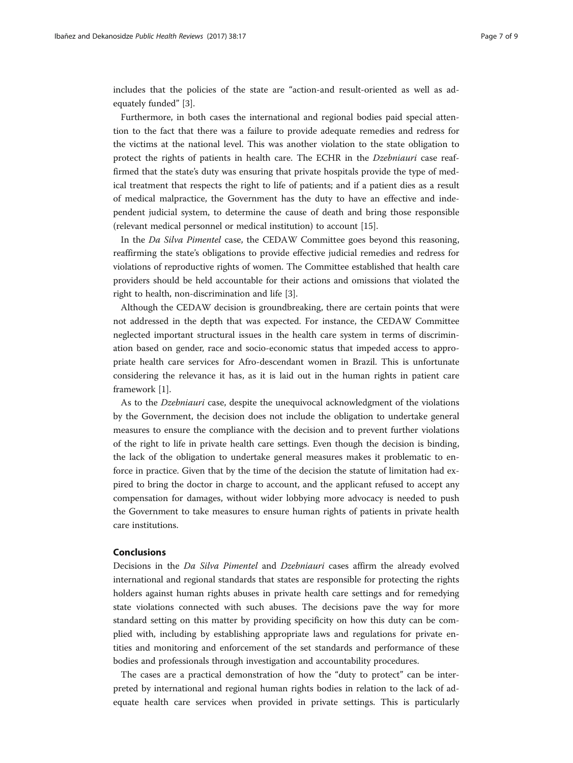includes that the policies of the state are "action-and result-oriented as well as adequately funded" [[3](#page-7-0)].

Furthermore, in both cases the international and regional bodies paid special attention to the fact that there was a failure to provide adequate remedies and redress for the victims at the national level. This was another violation to the state obligation to protect the rights of patients in health care. The ECHR in the Dzebniauri case reaffirmed that the state's duty was ensuring that private hospitals provide the type of medical treatment that respects the right to life of patients; and if a patient dies as a result of medical malpractice, the Government has the duty to have an effective and independent judicial system, to determine the cause of death and bring those responsible (relevant medical personnel or medical institution) to account [\[15\]](#page-8-0).

In the Da Silva Pimentel case, the CEDAW Committee goes beyond this reasoning, reaffirming the state's obligations to provide effective judicial remedies and redress for violations of reproductive rights of women. The Committee established that health care providers should be held accountable for their actions and omissions that violated the right to health, non-discrimination and life [\[3](#page-7-0)].

Although the CEDAW decision is groundbreaking, there are certain points that were not addressed in the depth that was expected. For instance, the CEDAW Committee neglected important structural issues in the health care system in terms of discrimination based on gender, race and socio-economic status that impeded access to appropriate health care services for Afro-descendant women in Brazil. This is unfortunate considering the relevance it has, as it is laid out in the human rights in patient care framework [[1\]](#page-7-0).

As to the Dzebniauri case, despite the unequivocal acknowledgment of the violations by the Government, the decision does not include the obligation to undertake general measures to ensure the compliance with the decision and to prevent further violations of the right to life in private health care settings. Even though the decision is binding, the lack of the obligation to undertake general measures makes it problematic to enforce in practice. Given that by the time of the decision the statute of limitation had expired to bring the doctor in charge to account, and the applicant refused to accept any compensation for damages, without wider lobbying more advocacy is needed to push the Government to take measures to ensure human rights of patients in private health care institutions.

### Conclusions

Decisions in the Da Silva Pimentel and Dzebniauri cases affirm the already evolved international and regional standards that states are responsible for protecting the rights holders against human rights abuses in private health care settings and for remedying state violations connected with such abuses. The decisions pave the way for more standard setting on this matter by providing specificity on how this duty can be complied with, including by establishing appropriate laws and regulations for private entities and monitoring and enforcement of the set standards and performance of these bodies and professionals through investigation and accountability procedures.

The cases are a practical demonstration of how the "duty to protect" can be interpreted by international and regional human rights bodies in relation to the lack of adequate health care services when provided in private settings. This is particularly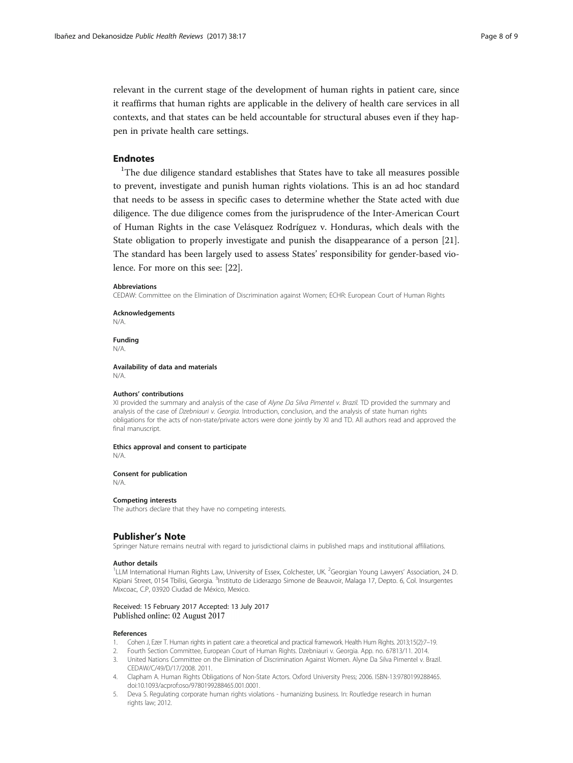<span id="page-7-0"></span>relevant in the current stage of the development of human rights in patient care, since it reaffirms that human rights are applicable in the delivery of health care services in all contexts, and that states can be held accountable for structural abuses even if they happen in private health care settings.

### Endnotes

<sup>1</sup>The due diligence standard establishes that States have to take all measures possible to prevent, investigate and punish human rights violations. This is an ad hoc standard that needs to be assess in specific cases to determine whether the State acted with due diligence. The due diligence comes from the jurisprudence of the Inter-American Court of Human Rights in the case Velásquez Rodríguez v. Honduras, which deals with the State obligation to properly investigate and punish the disappearance of a person [[21](#page-8-0)]. The standard has been largely used to assess States' responsibility for gender-based violence. For more on this see: [\[22\]](#page-8-0).

#### **Abbreviations**

CEDAW: Committee on the Elimination of Discrimination against Women; ECHR: European Court of Human Rights

Acknowledgements N/A.

Funding N/A.

Availability of data and materials N/A.

#### Authors' contributions

XI provided the summary and analysis of the case of Alyne Da Silva Pimentel v. Brazil. TD provided the summary and analysis of the case of Dzebniauri v. Georgia. Introduction, conclusion, and the analysis of state human rights obligations for the acts of non-state/private actors were done jointly by XI and TD. All authors read and approved the final manuscript.

#### Ethics approval and consent to participate N/A.

### Consent for publication

N/A.

#### Competing interests The authors declare that they have no competing interests.

#### Publisher's Note

Springer Nature remains neutral with regard to jurisdictional claims in published maps and institutional affiliations.

#### Author details

<sup>1</sup>LLM International Human Rights Law, University of Essex, Colchester, UK. <sup>2</sup>Georgian Young Lawyers' Association, 24 D Kipiani Street, 0154 Tbilisi, Georgia. <sup>3</sup>Instituto de Liderazgo Simone de Beauvoir, Malaga 17, Depto. 6, Col. Insurgentes Mixcoac, C.P, 03920 Ciudad de México, Mexico.

## Received: 15 February 2017 Accepted: 13 July 2017

### References

- 1. Cohen J, Ezer T. Human rights in patient care: a theoretical and practical framework. Health Hum Rights. 2013;15(2):7–19.
- 2. Fourth Section Committee, European Court of Human Rights. Dzebniauri v. Georgia. App. no. 67813/11. 2014.
- 3. United Nations Committee on the Elimination of Discrimination Against Women. Alyne Da Silva Pimentel v. Brazil. CEDAW/C/49/D/17/2008. 2011.
- 4. Clapham A. Human Rights Obligations of Non-State Actors. Oxford University Press; 2006. ISBN-13:9780199288465. doi:[10.1093/acprof:oso/9780199288465.001.0001](http://dx.doi.org/10.1093/acprof:oso/9780199288465.001.0001).
- 5. Deva S. Regulating corporate human rights violations humanizing business. In: Routledge research in human rights law; 2012.